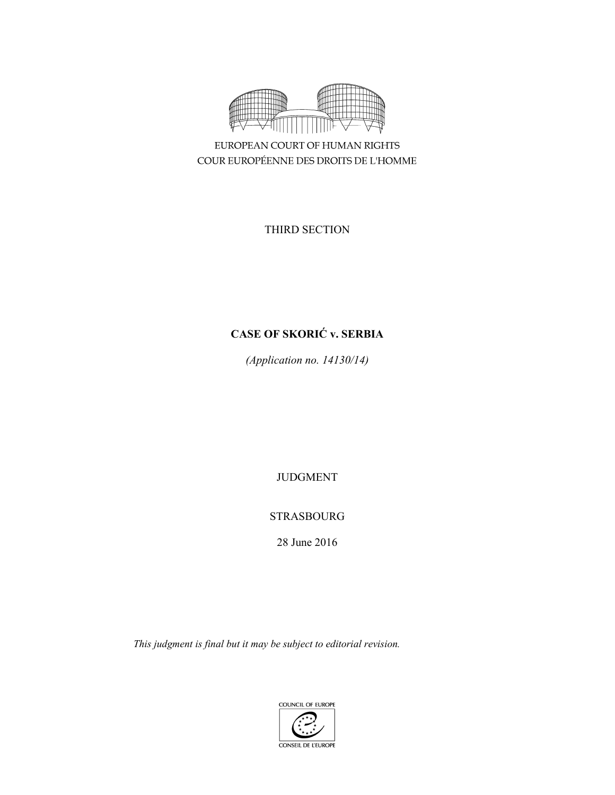

EUROPEAN COURT OF HUMAN RIGHTS COUR EUROPÉENNE DES DROITS DE L'HOMME

THIRD SECTION

# **CASE OF SKORIĆ v. SERBIA**

*(Application no. 14130/14)* 

JUDGMENT

# STRASBOURG

28 June 2016

*This judgment is final but it may be subject to editorial revision.* 

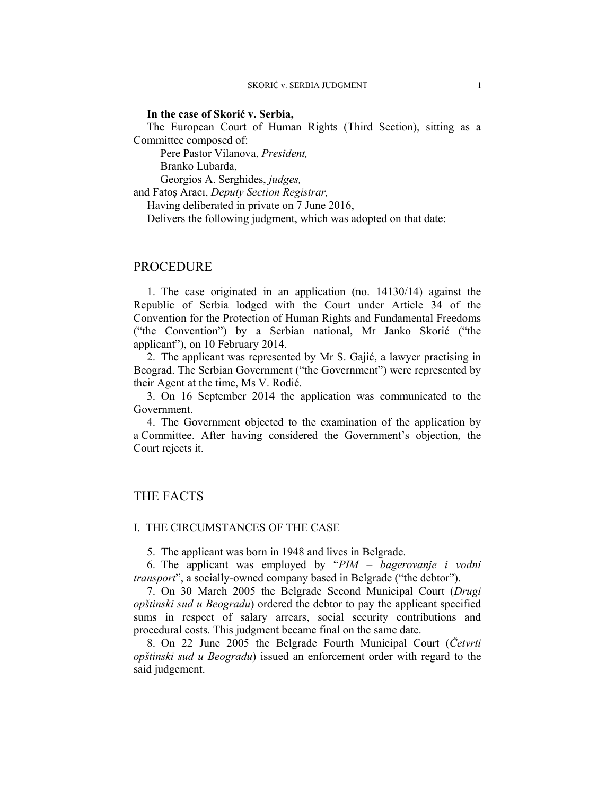#### **In the case of Skorić v. Serbia,**

The European Court of Human Rights (Third Section), sitting as a Committee composed of:

Pere Pastor Vilanova, *President,* 

Branko Lubarda,

Georgios A. Serghides, *judges,*

and Fatoş Aracı, *Deputy Section Registrar,*

Having deliberated in private on 7 June 2016,

Delivers the following judgment, which was adopted on that date:

## PROCEDURE

1. The case originated in an application (no. 14130/14) against the Republic of Serbia lodged with the Court under Article 34 of the Convention for the Protection of Human Rights and Fundamental Freedoms ("the Convention") by a Serbian national, Mr Janko Skorić ("the applicant"), on 10 February 2014.

2. The applicant was represented by Mr S. Gajić, a lawyer practising in Beograd. The Serbian Government ("the Government") were represented by their Agent at the time, Ms V. Rodić.

3. On 16 September 2014 the application was communicated to the Government.

4. The Government objected to the examination of the application by a Committee. After having considered the Government's objection, the Court rejects it.

## THE FACTS

#### I. THE CIRCUMSTANCES OF THE CASE

5. The applicant was born in 1948 and lives in Belgrade.

6. The applicant was employed by "*PIM – bagerovanje i vodni transport*", a socially-owned company based in Belgrade ("the debtor").

7. On 30 March 2005 the Belgrade Second Municipal Court (*Drugi opštinski sud u Beogradu*) ordered the debtor to pay the applicant specified sums in respect of salary arrears, social security contributions and procedural costs. This judgment became final on the same date.

8. On 22 June 2005 the Belgrade Fourth Municipal Court (*Četvrti opštinski sud u Beogradu*) issued an enforcement order with regard to the said judgement.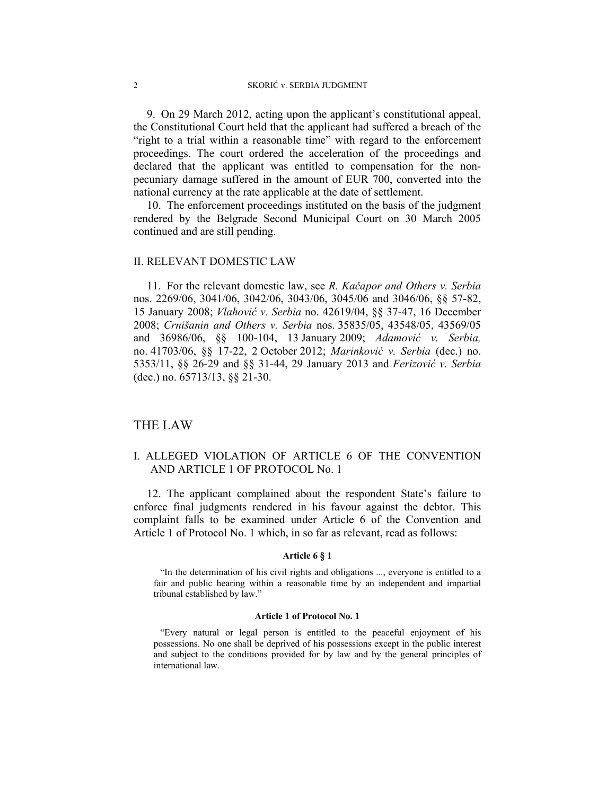9. On 29 March 2012, acting upon the applicant's constitutional appeal, the Constitutional Court held that the applicant had suffered a breach of the "right to a trial within a reasonable time" with regard to the enforcement proceedings. The court ordered the acceleration of the proceedings and declared that the applicant was entitled to compensation for the nonpecuniary damage suffered in the amount of EUR 700, converted into the national currency at the rate applicable at the date of settlement.

10. The enforcement proceedings instituted on the basis of the judgment rendered by the Belgrade Second Municipal Court on 30 March 2005 continued and are still pending.

#### II. RELEVANT DOMESTIC LAW

11. For the relevant domestic law, see *R. Kačapor and Others v. Serbia*  nos. 2269/06, 3041/06, 3042/06, 3043/06, 3045/06 and 3046/06, §§ 57-82, 15 January 2008; *Vlahović v. Serbia* no. 42619/04, §§ 37-47, 16 December 2008; *Crnišanin and Others v. Serbia* nos. 35835/05, 43548/05, 43569/05 and 36986/06, §§ 100-104, 13 January 2009; *Adamović v. Serbia,* no. 41703/06, §§ 17-22, 2 October 2012; *Marinković v. Serbia* (dec.) no. 5353/11, §§ 26-29 and §§ 31-44, 29 January 2013 and *Ferizović v. Serbia*  (dec.) no. 65713/13, §§ 21-30.

## THE LAW

## I. ALLEGED VIOLATION OF ARTICLE 6 OF THE CONVENTION AND ARTICLE 1 OF PROTOCOL No. 1

12. The applicant complained about the respondent State's failure to enforce final judgments rendered in his favour against the debtor. This complaint falls to be examined under Article 6 of the Convention and Article 1 of Protocol No. 1 which, in so far as relevant, read as follows:

#### **Article 6 § 1**

"In the determination of his civil rights and obligations ..., everyone is entitled to a fair and public hearing within a reasonable time by an independent and impartial tribunal established by law."

#### **Article 1 of Protocol No. 1**

"Every natural or legal person is entitled to the peaceful enjoyment of his possessions. No one shall be deprived of his possessions except in the public interest and subject to the conditions provided for by law and by the general principles of international law.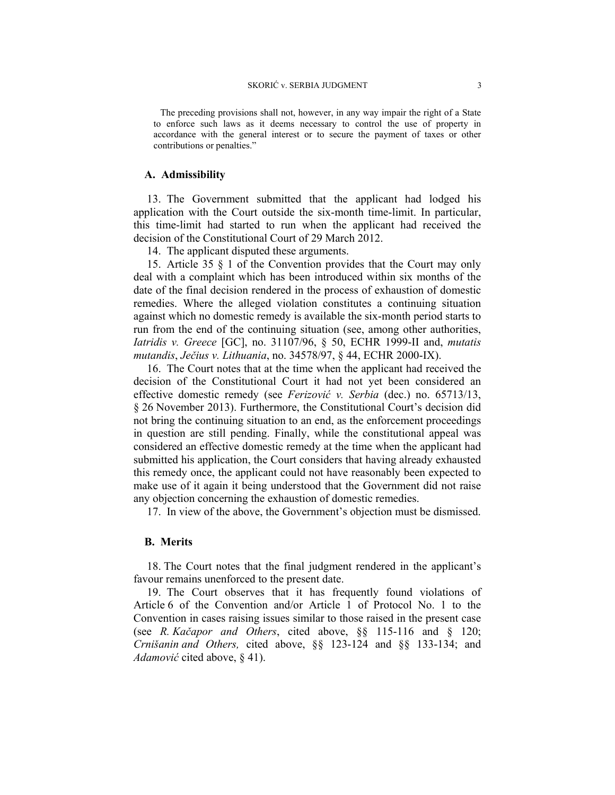The preceding provisions shall not, however, in any way impair the right of a State to enforce such laws as it deems necessary to control the use of property in accordance with the general interest or to secure the payment of taxes or other contributions or penalties."

#### **A. Admissibility**

13. The Government submitted that the applicant had lodged his application with the Court outside the six-month time-limit. In particular, this time-limit had started to run when the applicant had received the decision of the Constitutional Court of 29 March 2012.

14. The applicant disputed these arguments.

15. Article 35 § 1 of the Convention provides that the Court may only deal with a complaint which has been introduced within six months of the date of the final decision rendered in the process of exhaustion of domestic remedies. Where the alleged violation constitutes a continuing situation against which no domestic remedy is available the six-month period starts to run from the end of the continuing situation (see, among other authorities, *Iatridis v. Greece* [GC], no. 31107/96, § 50, ECHR 1999-II and, *mutatis mutandis*, *Ječius v. Lithuania*, no. 34578/97, § 44, ECHR 2000-IX).

16. The Court notes that at the time when the applicant had received the decision of the Constitutional Court it had not yet been considered an effective domestic remedy (see *Ferizović v. Serbia* (dec.) no. 65713/13, § 26 November 2013). Furthermore, the Constitutional Court's decision did not bring the continuing situation to an end, as the enforcement proceedings in question are still pending. Finally, while the constitutional appeal was considered an effective domestic remedy at the time when the applicant had submitted his application, the Court considers that having already exhausted this remedy once, the applicant could not have reasonably been expected to make use of it again it being understood that the Government did not raise any objection concerning the exhaustion of domestic remedies.

17. In view of the above, the Government's objection must be dismissed.

### **B. Merits**

18. The Court notes that the final judgment rendered in the applicant's favour remains unenforced to the present date.

19. The Court observes that it has frequently found violations of Article 6 of the Convention and/or Article 1 of Protocol No. 1 to the Convention in cases raising issues similar to those raised in the present case (see *R. Kačapor and Others*, cited above, §§ 115-116 and § 120; *Crnišanin and Others,* cited above, §§ 123-124 and §§ 133-134; and *Adamović* cited above, § 41).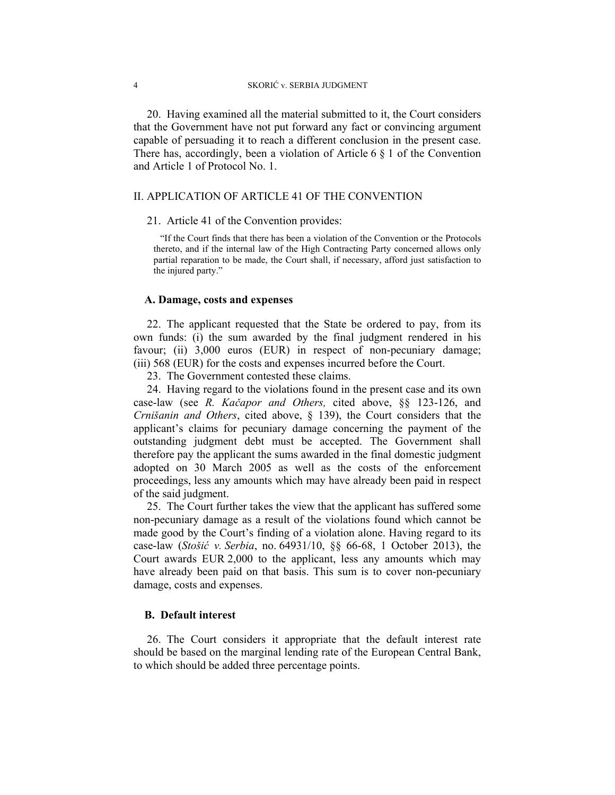20. Having examined all the material submitted to it, the Court considers that the Government have not put forward any fact or convincing argument capable of persuading it to reach a different conclusion in the present case. There has, accordingly, been a violation of Article  $6 \n\& 1$  of the Convention and Article 1 of Protocol No. 1.

#### II. APPLICATION OF ARTICLE 41 OF THE CONVENTION

### 21. Article 41 of the Convention provides:

"If the Court finds that there has been a violation of the Convention or the Protocols thereto, and if the internal law of the High Contracting Party concerned allows only partial reparation to be made, the Court shall, if necessary, afford just satisfaction to the injured party."

#### **A. Damage, costs and expenses**

22. The applicant requested that the State be ordered to pay, from its own funds: (i) the sum awarded by the final judgment rendered in his favour; (ii) 3,000 euros (EUR) in respect of non-pecuniary damage; (iii) 568 (EUR) for the costs and expenses incurred before the Court.

23. The Government contested these claims.

24. Having regard to the violations found in the present case and its own case-law (see *R. Kačapor and Others,* cited above, §§ 123-126, and *Crnišanin and Others*, cited above, § 139), the Court considers that the applicant's claims for pecuniary damage concerning the payment of the outstanding judgment debt must be accepted. The Government shall therefore pay the applicant the sums awarded in the final domestic judgment adopted on 30 March 2005 as well as the costs of the enforcement proceedings, less any amounts which may have already been paid in respect of the said judgment.

25. The Court further takes the view that the applicant has suffered some non-pecuniary damage as a result of the violations found which cannot be made good by the Court's finding of a violation alone. Having regard to its case-law (*Stošić v. Serbia*, no. 64931/10, §§ 66-68, 1 October 2013), the Court awards EUR 2,000 to the applicant, less any amounts which may have already been paid on that basis. This sum is to cover non-pecuniary damage, costs and expenses.

#### **B. Default interest**

26. The Court considers it appropriate that the default interest rate should be based on the marginal lending rate of the European Central Bank, to which should be added three percentage points.